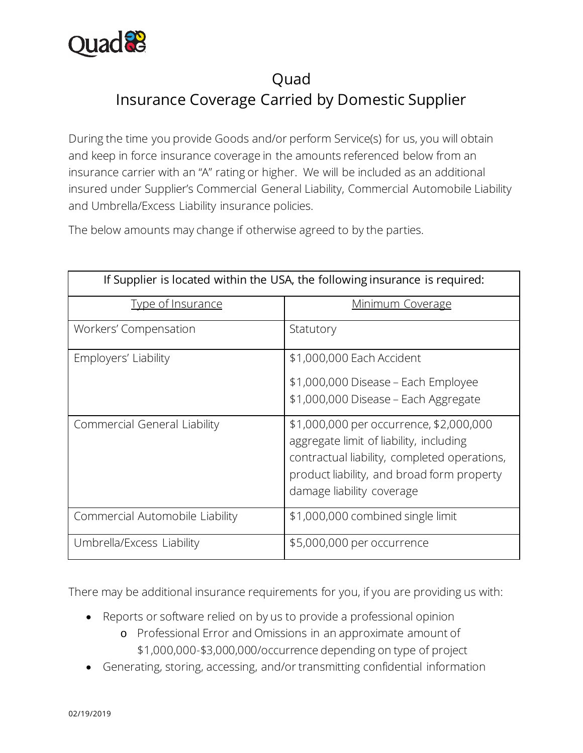

## **Ouad** Insurance Coverage Carried by Domestic Supplier

During the time you provide Goods and/or perform Service(s) for us, you will obtain and keep in force insurance coverage in the amounts referenced below from an insurance carrier with an "A" rating or higher. We will be included as an additional insured under Supplier's Commercial General Liability, Commercial Automobile Liability and Umbrella/Excess Liability insurance policies.

The below amounts may change if otherwise agreed to by the parties.

| If Supplier is located within the USA, the following insurance is required: |                                                                                                                                                                                                               |
|-----------------------------------------------------------------------------|---------------------------------------------------------------------------------------------------------------------------------------------------------------------------------------------------------------|
| <b>Type of Insurance</b>                                                    | <u>Minimum Coverage</u>                                                                                                                                                                                       |
| Workers' Compensation                                                       | Statutory                                                                                                                                                                                                     |
| Employers' Liability                                                        | \$1,000,000 Each Accident<br>\$1,000,000 Disease – Each Employee<br>\$1,000,000 Disease - Each Aggregate                                                                                                      |
| Commercial General Liability                                                | \$1,000,000 per occurrence, \$2,000,000<br>aggregate limit of liability, including<br>contractual liability, completed operations,<br>product liability, and broad form property<br>damage liability coverage |
| Commercial Automobile Liability                                             | \$1,000,000 combined single limit                                                                                                                                                                             |
| Umbrella/Excess Liability                                                   | \$5,000,000 per occurrence                                                                                                                                                                                    |

There may be additional insurance requirements for you, if you are providing us with:

- Reports or software relied on by us to provide a professional opinion
	- o Professional Error and Omissions in an approximate amount of \$1,000,000-\$3,000,000/occurrence depending on type of project
- Generating, storing, accessing, and/or transmitting confidential information